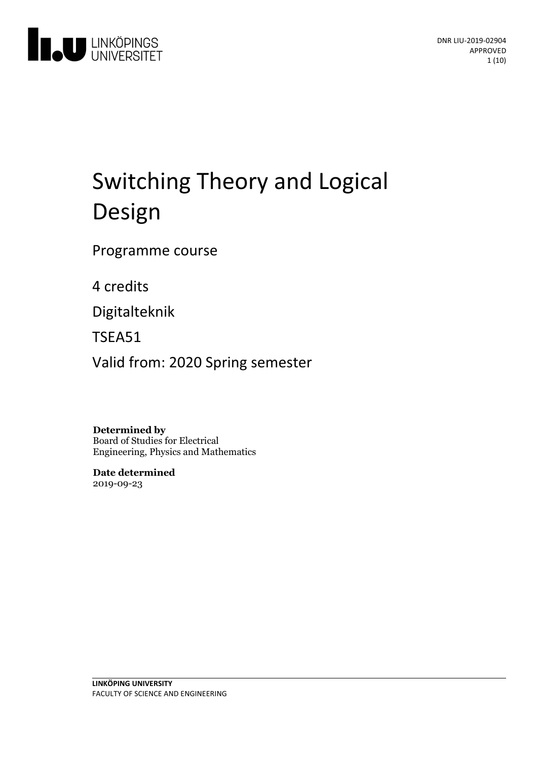

# Switching Theory and Logical Design

Programme course

4 credits

Digitalteknik

TSEA51

Valid from: 2020 Spring semester

**Determined by** Board of Studies for Electrical Engineering, Physics and Mathematics

**Date determined** 2019-09-23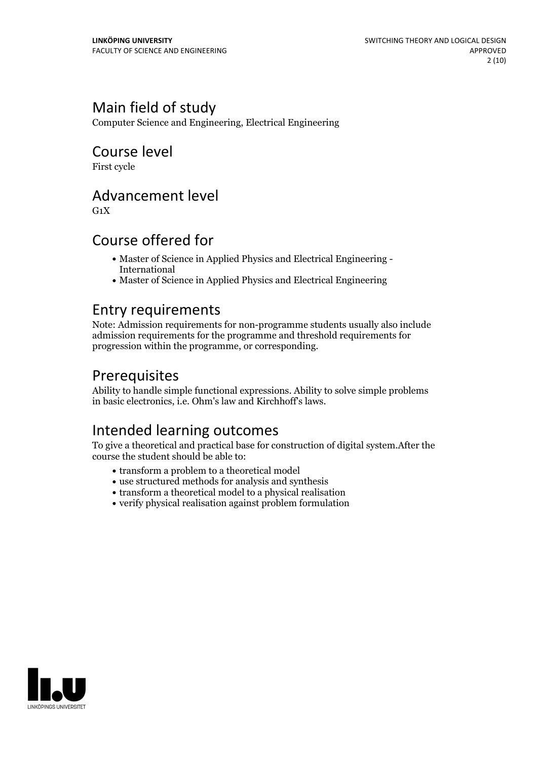# Main field of study

Computer Science and Engineering, Electrical Engineering

# Course level

First cycle

### Advancement level

 $G_1X$ 

# Course offered for

- Master of Science in Applied Physics and Electrical Engineering International
- Master of Science in Applied Physics and Electrical Engineering

### Entry requirements

Note: Admission requirements for non-programme students usually also include admission requirements for the programme and threshold requirements for progression within the programme, or corresponding.

# **Prerequisites**

Ability to handle simple functional expressions. Ability to solve simple problems in basic electronics, i.e. Ohm's law and Kirchhoff's laws.

# Intended learning outcomes

To give a theoretical and practical base for construction of digital system.After the course the student should be able to:

- transform a problem to a theoretical model
- use structured methods for analysis and synthesis
- transform a theoretical model to a physical realisation
- verify physical realisation against problem formulation

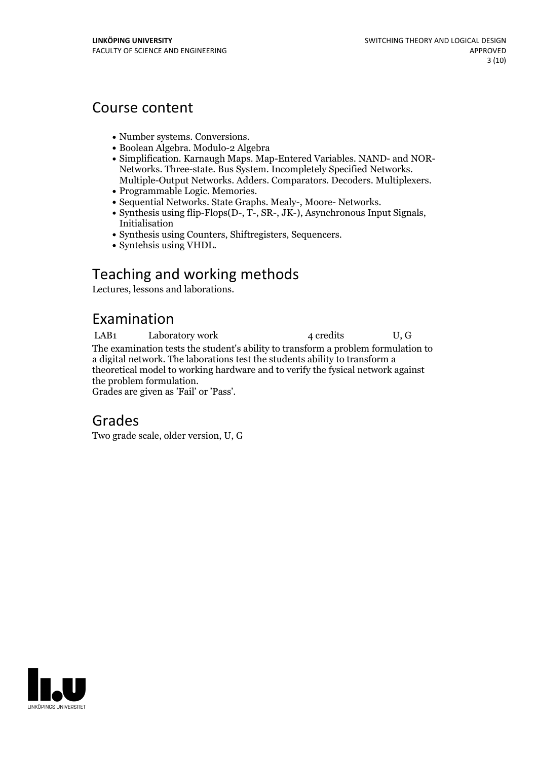### Course content

- 
- Number systems. Conversions.<br>• Boolean Algebra. Modulo-2 Algebra
- Simplification. Karnaugh Maps. Map-Entered Variables. NAND- and NOR-<br>Networks. Three-state. Bus System. Incompletely Specified Networks.<br>Multiple-Output Networks. Adders. Comparators. Decoders. Multiplexers.<br>• Programmab
- 
- 
- 
- Synthesis using Counters, Shiftregisters, Sequencers. Syntehsis using VHDL.
- 

# Teaching and working methods

Lectures, lessons and laborations.

# Examination

LAB1 Laboratory work 4 credits U, G The examination tests the student's ability to transform a problem formulation to a digital network. The laborations test the students ability to transform a theoretical model to working hardware and to verify the fysical network against Grades are given as 'Fail' or 'Pass'.

### Grades

Two grade scale, older version, U, G

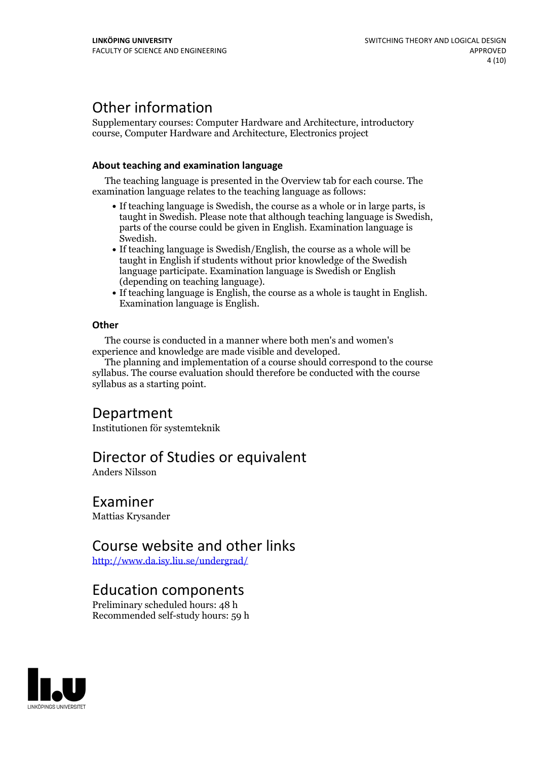# Other information

Supplementary courses: Computer Hardware and Architecture, introductory course, Computer Hardware and Architecture, Electronics project

#### **About teaching and examination language**

The teaching language is presented in the Overview tab for each course. The examination language relates to the teaching language as follows:

- If teaching language is Swedish, the course as a whole or in large parts, is taught in Swedish. Please note that although teaching language is Swedish, parts of the course could be given in English. Examination language is Swedish.<br>• If teaching language is Swedish/English, the course as a whole will be
- taught in English if students without prior knowledge of the Swedish language participate. Examination language is Swedish or English
- $\bullet$  If teaching language is English, the course as a whole is taught in English. Examination language is English.

#### **Other**

The course is conducted in a manner where both men's and women's

The planning and implementation of a course should correspond to the course syllabus. The course evaluation should therefore be conducted with the course syllabus as a starting point.

### Department

Institutionen för systemteknik

### Director of Studies or equivalent

Anders Nilsson

### Examiner

Mattias Krysander

### Course website and other links

<http://www.da.isy.liu.se/undergrad/>

### Education components

Preliminary scheduled hours: 48 h Recommended self-study hours: 59 h

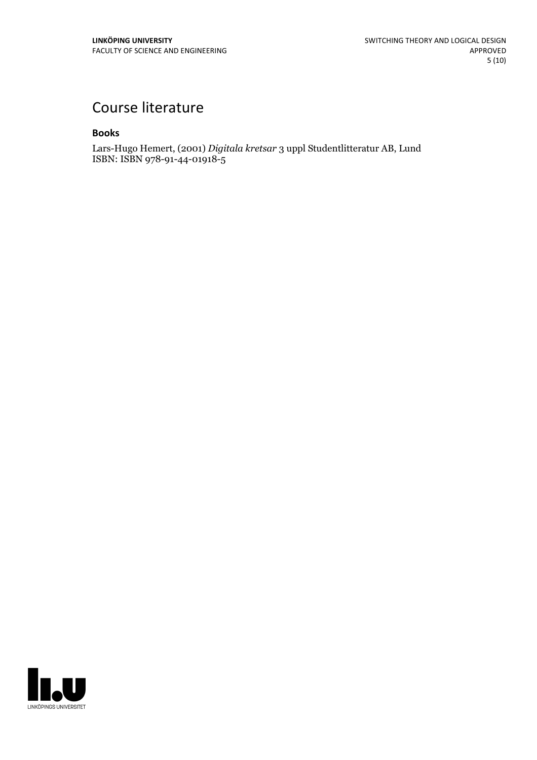# Course literature

#### **Books**

Lars-Hugo Hemert, (2001) *Digitala kretsar* 3 uppl Studentlitteratur AB, Lund ISBN: ISBN 978-91-44-01918-5

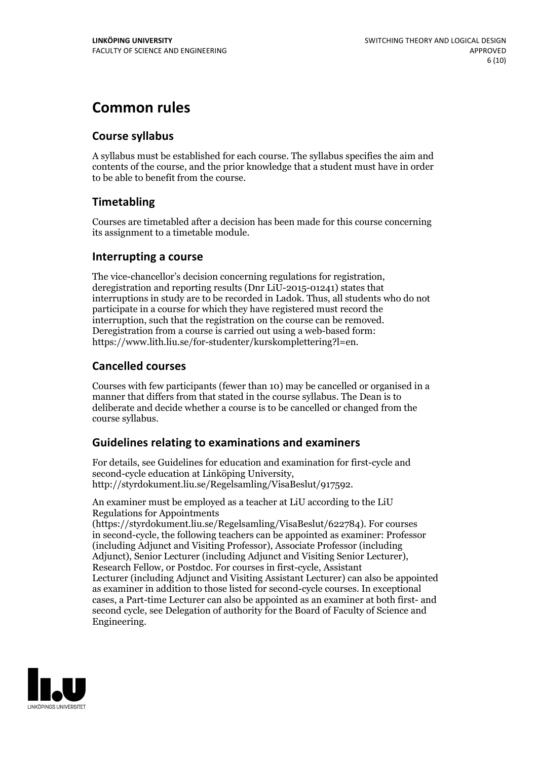# **Common rules**

### **Course syllabus**

A syllabus must be established for each course. The syllabus specifies the aim and contents of the course, and the prior knowledge that a student must have in order to be able to benefit from the course.

### **Timetabling**

Courses are timetabled after a decision has been made for this course concerning its assignment to a timetable module.

### **Interrupting a course**

The vice-chancellor's decision concerning regulations for registration, deregistration and reporting results (Dnr LiU-2015-01241) states that interruptions in study are to be recorded in Ladok. Thus, all students who do not participate in a course for which they have registered must record the interruption, such that the registration on the course can be removed. Deregistration from <sup>a</sup> course is carried outusing <sup>a</sup> web-based form: https://www.lith.liu.se/for-studenter/kurskomplettering?l=en.

### **Cancelled courses**

Courses with few participants (fewer than 10) may be cancelled or organised in a manner that differs from that stated in the course syllabus. The Dean is to deliberate and decide whether a course is to be cancelled or changed from the course syllabus.

### **Guidelines relatingto examinations and examiners**

For details, see Guidelines for education and examination for first-cycle and second-cycle education at Linköping University, http://styrdokument.liu.se/Regelsamling/VisaBeslut/917592.

An examiner must be employed as a teacher at LiU according to the LiU Regulations for Appointments

(https://styrdokument.liu.se/Regelsamling/VisaBeslut/622784). For courses in second-cycle, the following teachers can be appointed as examiner: Professor (including Adjunct and Visiting Professor), Associate Professor (including Adjunct), Senior Lecturer (including Adjunct and Visiting Senior Lecturer), Research Fellow, or Postdoc. For courses in first-cycle, Assistant Lecturer (including Adjunct and Visiting Assistant Lecturer) can also be appointed as examiner in addition to those listed for second-cycle courses. In exceptional cases, a Part-time Lecturer can also be appointed as an examiner at both first- and second cycle, see Delegation of authority for the Board of Faculty of Science and Engineering.

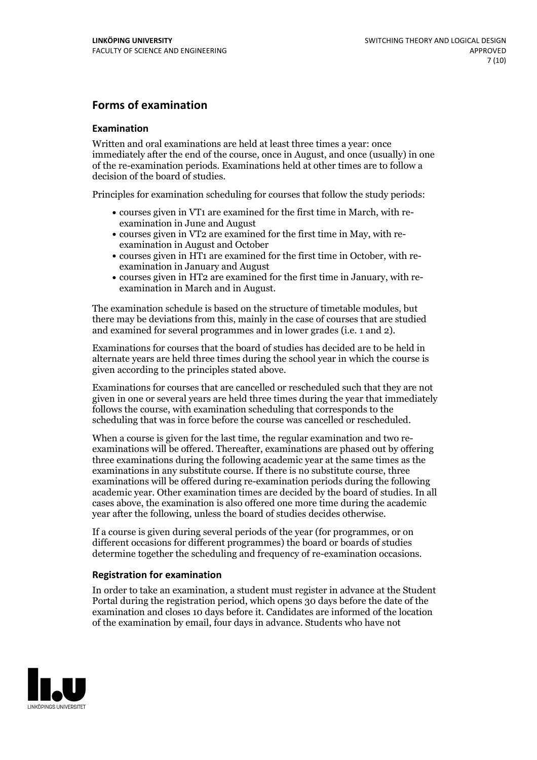### **Forms of examination**

#### **Examination**

Written and oral examinations are held at least three times a year: once immediately after the end of the course, once in August, and once (usually) in one of the re-examination periods. Examinations held at other times are to follow a decision of the board of studies.

Principles for examination scheduling for courses that follow the study periods:

- courses given in VT1 are examined for the first time in March, with re-examination in June and August
- courses given in VT2 are examined for the first time in May, with re-examination in August and October
- courses given in HT1 are examined for the first time in October, with re-examination in January and August
- courses given in HT2 are examined for the first time in January, with re-examination in March and in August.

The examination schedule is based on the structure of timetable modules, but there may be deviations from this, mainly in the case of courses that are studied and examined for several programmes and in lower grades (i.e. 1 and 2).

Examinations for courses that the board of studies has decided are to be held in alternate years are held three times during the school year in which the course is given according to the principles stated above.

Examinations for courses that are cancelled orrescheduled such that they are not given in one or several years are held three times during the year that immediately follows the course, with examination scheduling that corresponds to the scheduling that was in force before the course was cancelled or rescheduled.

When a course is given for the last time, the regular examination and two re-<br>examinations will be offered. Thereafter, examinations are phased out by offering three examinations during the following academic year at the same times as the examinations in any substitute course. If there is no substitute course, three examinations will be offered during re-examination periods during the following academic year. Other examination times are decided by the board of studies. In all cases above, the examination is also offered one more time during the academic year after the following, unless the board of studies decides otherwise.

If a course is given during several periods of the year (for programmes, or on different occasions for different programmes) the board or boards of studies determine together the scheduling and frequency of re-examination occasions.

#### **Registration for examination**

In order to take an examination, a student must register in advance at the Student Portal during the registration period, which opens 30 days before the date of the examination and closes 10 days before it. Candidates are informed of the location of the examination by email, four days in advance. Students who have not

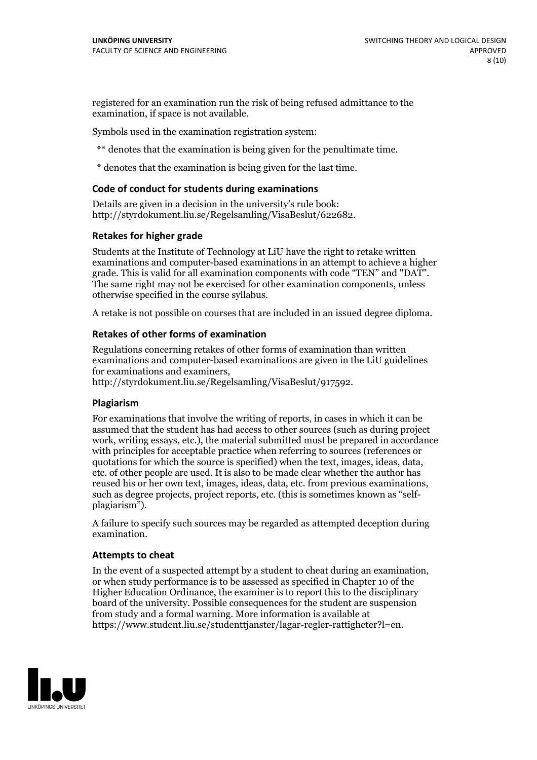registered for an examination run the risk of being refused admittance to the examination, if space is not available.

Symbols used in the examination registration system:

\*\* denotes that the examination is being given for the penultimate time.

\* denotes that the examination is being given for the last time.

#### **Code of conduct for students during examinations**

Details are given in a decision in the university's rule book: http://styrdokument.liu.se/Regelsamling/VisaBeslut/622682.

#### **Retakes for higher grade**

Students at the Institute of Technology at LiU have the right to retake written examinations and computer-based examinations in an attempt to achieve a higher grade. This is valid for all examination components with code "TEN" and "DAT". The same right may not be exercised for other examination components, unless otherwise specified in the course syllabus.

A retake is not possible on courses that are included in an issued degree diploma.

#### **Retakes of other forms of examination**

Regulations concerning retakes of other forms of examination than written examinations and computer-based examinations are given in the LiU guidelines

http://styrdokument.liu.se/Regelsamling/VisaBeslut/917592.

#### **Plagiarism**

For examinations that involve the writing of reports, in cases in which it can be assumed that the student has had access to other sources (such as during project work, writing essays, etc.), the material submitted must be prepared in accordance with principles for acceptable practice when referring to sources (references or quotations for which the source is specified) when the text, images, ideas, data,  $\vec{e}$  etc. of other people are used. It is also to be made clear whether the author has reused his or her own text, images, ideas, data, etc. from previous examinations, such as degree projects, project reports, etc. (this is sometimes known as "self- plagiarism").

A failure to specify such sources may be regarded as attempted deception during examination.

#### **Attempts to cheat**

In the event of <sup>a</sup> suspected attempt by <sup>a</sup> student to cheat during an examination, or when study performance is to be assessed as specified in Chapter <sup>10</sup> of the Higher Education Ordinance, the examiner is to report this to the disciplinary board of the university. Possible consequences for the student are suspension from study and a formal warning. More information is available at https://www.student.liu.se/studenttjanster/lagar-regler-rattigheter?l=en.

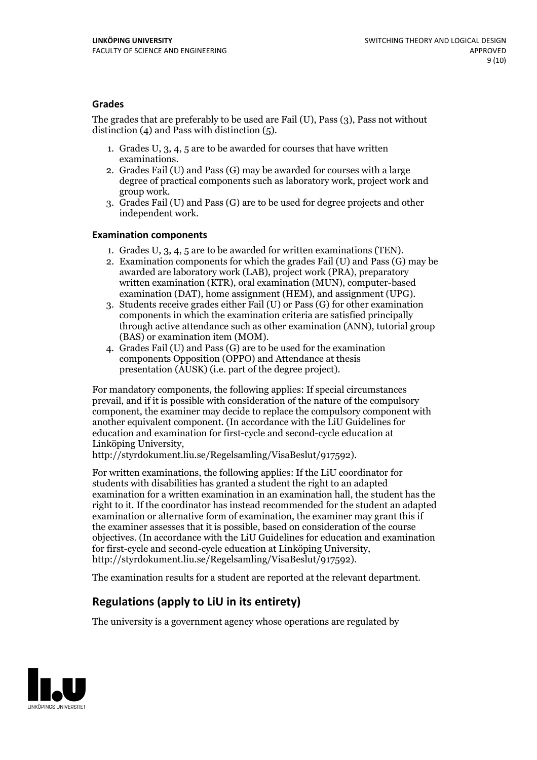#### **Grades**

The grades that are preferably to be used are Fail (U), Pass (3), Pass not without distinction  $(4)$  and Pass with distinction  $(5)$ .

- 1. Grades U, 3, 4, 5 are to be awarded for courses that have written
- examinations. 2. Grades Fail (U) and Pass (G) may be awarded for courses with <sup>a</sup> large degree of practical components such as laboratory work, project work and group work. 3. Grades Fail (U) and Pass (G) are to be used for degree projects and other
- independent work.

#### **Examination components**

- 
- 1. Grades U, 3, 4, <sup>5</sup> are to be awarded for written examinations (TEN). 2. Examination components for which the grades Fail (U) and Pass (G) may be awarded are laboratory work (LAB), project work (PRA), preparatory written examination (KTR), oral examination (MUN), computer-based
- examination (DAT), home assignment (HEM), and assignment (UPG). 3. Students receive grades either Fail (U) or Pass (G) for other examination components in which the examination criteria are satisfied principally through active attendance such as other examination (ANN), tutorial group (BAS) or examination item (MOM). 4. Grades Fail (U) and Pass (G) are to be used for the examination
- components Opposition (OPPO) and Attendance at thesis presentation (AUSK) (i.e. part of the degree project).

For mandatory components, the following applies: If special circumstances prevail, and if it is possible with consideration of the nature of the compulsory component, the examiner may decide to replace the compulsory component with another equivalent component. (In accordance with the LiU Guidelines for education and examination for first-cycle and second-cycle education at Linköping University, http://styrdokument.liu.se/Regelsamling/VisaBeslut/917592).

For written examinations, the following applies: If the LiU coordinator for students with disabilities has granted a student the right to an adapted examination for a written examination in an examination hall, the student has the right to it. If the coordinator has instead recommended for the student an adapted examination or alternative form of examination, the examiner may grant this if the examiner assesses that it is possible, based on consideration of the course objectives. (In accordance with the LiU Guidelines for education and examination for first-cycle and second-cycle education at Linköping University, http://styrdokument.liu.se/Regelsamling/VisaBeslut/917592).

The examination results for a student are reported at the relevant department.

### **Regulations (applyto LiU in its entirety)**

The university is a government agency whose operations are regulated by